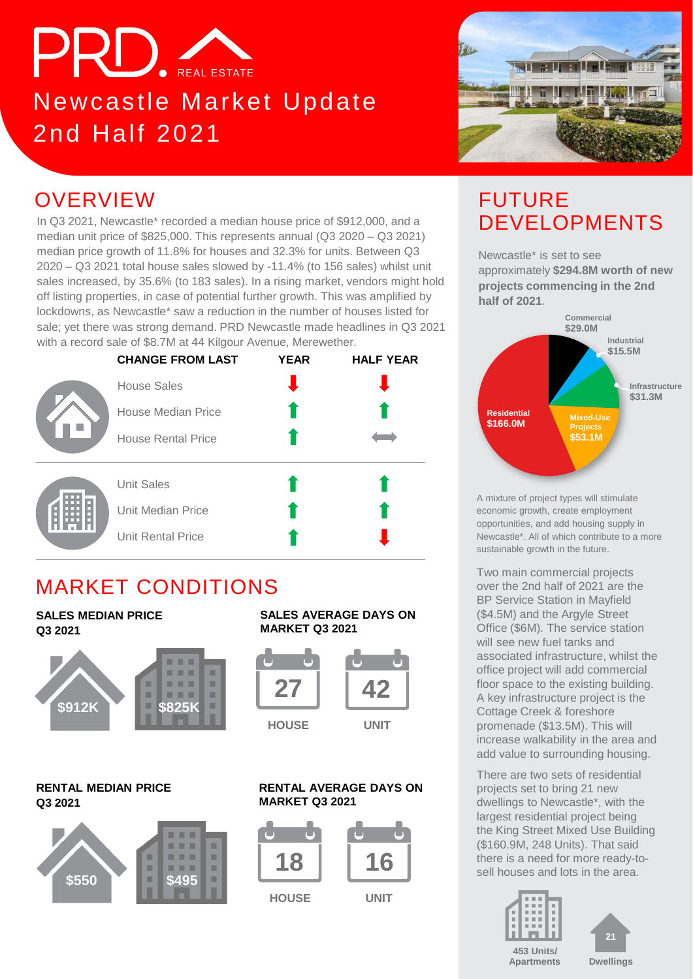# PRD. REAL ESTATE

## Newcastle Market Update 2nd Half 2021



### **OVERVIEW**

In Q3 2021, Newcastle\* recorded a median house price of \$912,000, and a median unit price of \$825,000. This represents annual (Q3 2020 – Q3 2021) median price growth of 11.8% for houses and 32.3% for units. Between Q3 2020 – Q3 2021 total house sales slowed by -11.4% (to 156 sales) whilst unit sales increased, by 35.6% (to 183 sales). In a rising market, vendors might hold off listing properties, in case of potential further growth. This was amplified by lockdowns, as Newcastle\* saw a reduction in the number of houses listed for sale; yet there was strong demand. PRD Newcastle made headlines in Q3 2021 with a record sale of \$8.7M at 44 Kilgour Avenue, Merewether.



### MARKET CONDITIONS

### **SALES MEDIAN PRICE Q3 2021**



#### **RENTAL MEDIAN PRICE Q3 2021**



#### **SALES AVERAGE DAYS ON MARKET Q3 2021**



#### **RENTAL AVERAGE DAYS ON MARKET Q3 2021**



### FUTURE DEVELOPMENTS

Newcastle\* is set to see approximately **\$294.8M worth of new projects commencing in the 2nd half of 2021**.



A mixture of project types will stimulate economic growth, create employment opportunities, and add housing supply in Newcastle\*. All of which contribute to a more sustainable growth in the future.

Two main commercial projects over the 2nd half of 2021 are the BP Service Station in Mayfield (\$4.5M) and the Argyle Street Office (\$6M). The service station will see new fuel tanks and associated infrastructure, whilst the office project will add commercial floor space to the existing building. A key infrastructure project is the Cottage Creek & foreshore promenade (\$13.5M). This will increase walkability in the area and add value to surrounding housing.

There are two sets of residential projects set to bring 21 new dwellings to Newcastle\*, with the largest residential project being the King Street Mixed Use Building (\$160.9M, 248 Units). That said there is a need for more ready-tosell houses and lots in the area.



**21**

**Apartments**

**Dwellings**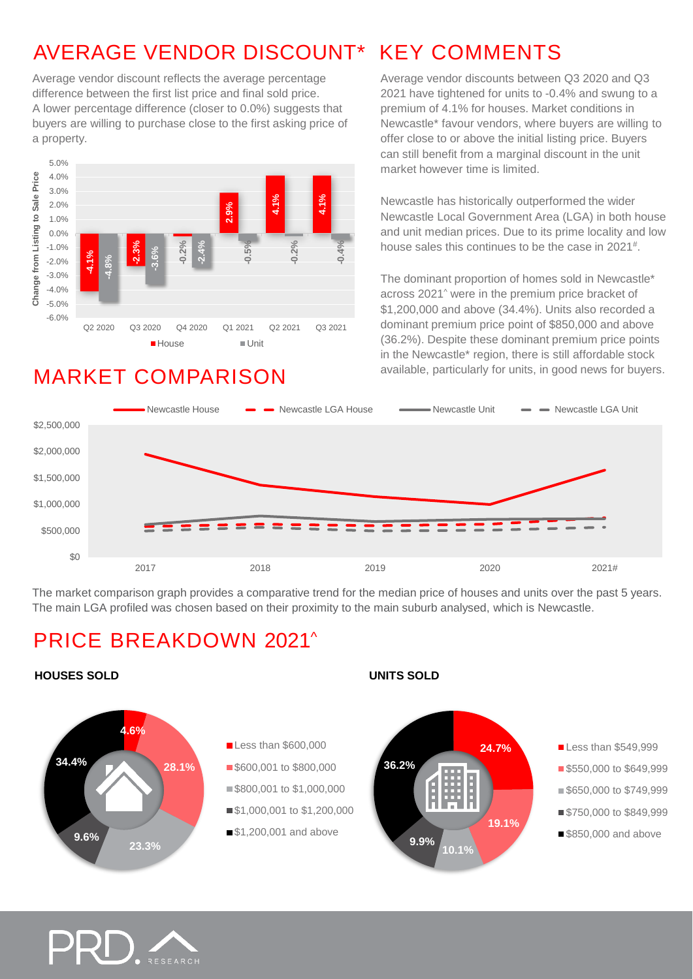### AVERAGE VENDOR DISCOUNT\* KEY COMMENTS

Average vendor discount reflects the average percentage difference between the first list price and final sold price. A lower percentage difference (closer to 0.0%) suggests that buyers are willing to purchase close to the first asking price of a property.



### MARKET COMPARISON

Average vendor discounts between Q3 2020 and Q3 2021 have tightened for units to -0.4% and swung to a premium of 4.1% for houses. Market conditions in Newcastle\* favour vendors, where buyers are willing to offer close to or above the initial listing price. Buyers can still benefit from a marginal discount in the unit market however time is limited.

Newcastle has historically outperformed the wider Newcastle Local Government Area (LGA) in both house and unit median prices. Due to its prime locality and low house sales this continues to be the case in 2021<sup>#</sup>.

The dominant proportion of homes sold in Newcastle\* across 2021^ were in the premium price bracket of \$1,200,000 and above (34.4%). Units also recorded a dominant premium price point of \$850,000 and above (36.2%). Despite these dominant premium price points in the Newcastle\* region, there is still affordable stock available, particularly for units, in good news for buyers.



The market comparison graph provides a comparative trend for the median price of houses and units over the past 5 years. The main LGA profiled was chosen based on their proximity to the main suburb analysed, which is Newcastle.

### PRICE BREAKDOWN 2021^

#### **HOUSES SOLD UNITS SOLD**



**Less than \$549,999 \$550,000 to \$649,999 \$650,000 to \$749,999** ■\$750,000 to \$849,999 **\$850,000 and above** 

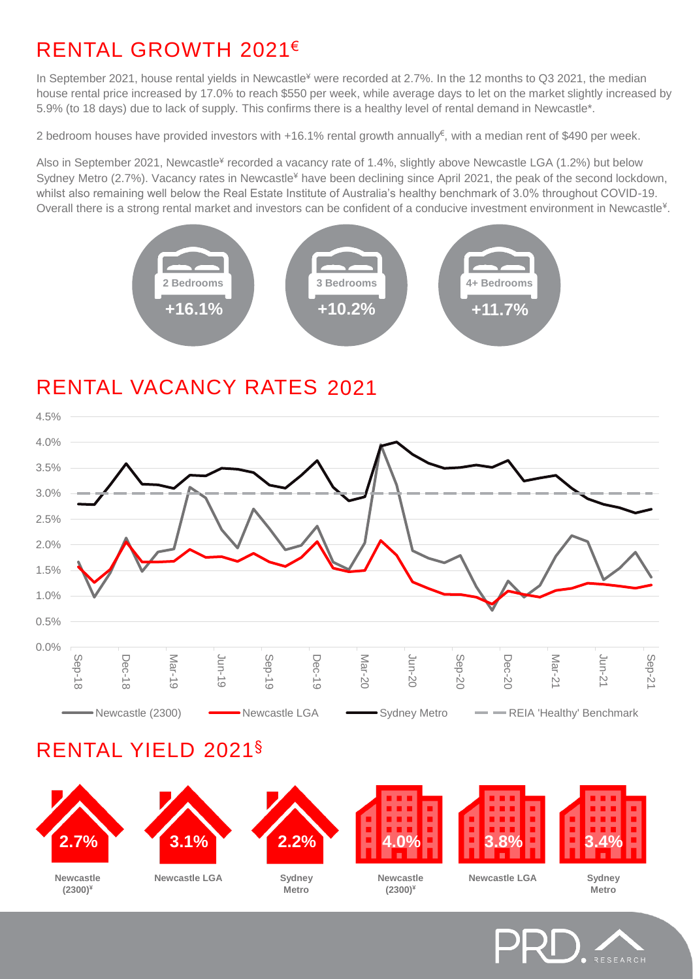### RENTAL GROWTH 2021€

In September 2021, house rental yields in Newcastle<sup>¥</sup> were recorded at 2.7%. In the 12 months to Q3 2021, the median house rental price increased by 17.0% to reach \$550 per week, while average days to let on the market slightly increased by 5.9% (to 18 days) due to lack of supply. This confirms there is a healthy level of rental demand in Newcastle\*.

2 bedroom houses have provided investors with +16.1% rental growth annually€ , with a median rent of \$490 per week.

Also in September 2021, Newcastle¥ recorded a vacancy rate of 1.4%, slightly above Newcastle LGA (1.2%) but below Sydney Metro (2.7%). Vacancy rates in Newcastle<sup>¥</sup> have been declining since April 2021, the peak of the second lockdown, whilst also remaining well below the Real Estate Institute of Australia's healthy benchmark of 3.0% throughout COVID-19. Overall there is a strong rental market and investors can be confident of a conducive investment environment in Newcastle<sup>¥</sup>.



### RENTAL VACANCY RATES 2021



### RENTAL YIELD 2021§



RESEARCH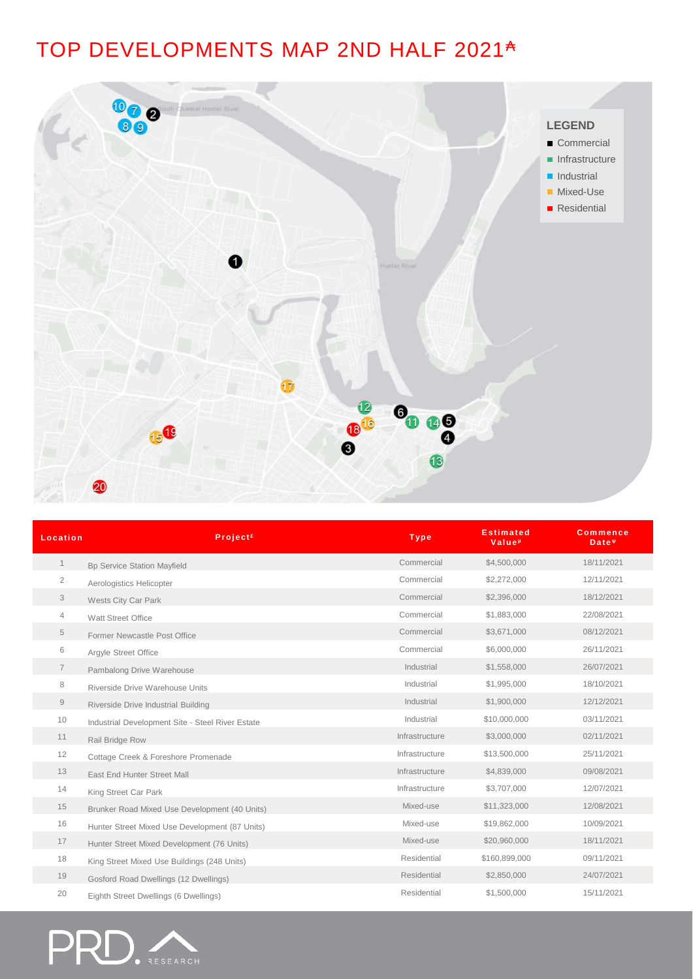### TOP DEVELOPMENTS MAP 2ND HALF 2021<sup>A</sup>



| Location       | Project <sup>£</sup>                             | <b>Type</b>    | <b>Estimated</b><br>Value <sup>µ</sup> | <b>Commence</b><br>Date <sup>w</sup> |
|----------------|--------------------------------------------------|----------------|----------------------------------------|--------------------------------------|
| $\mathbf{1}$   | <b>Bp Service Station Mayfield</b>               | Commercial     | \$4,500,000                            | 18/11/2021                           |
| $\overline{2}$ | Aerologistics Helicopter                         | Commercial     | \$2,272,000                            | 12/11/2021                           |
| 3              | Wests City Car Park                              | Commercial     | \$2,396,000                            | 18/12/2021                           |
| 4              | Watt Street Office                               | Commercial     | \$1,883,000                            | 22/08/2021                           |
| 5              | Former Newcastle Post Office                     | Commercial     | \$3,671,000                            | 08/12/2021                           |
| 6              | Argyle Street Office                             | Commercial     | \$6,000,000                            | 26/11/2021                           |
| 7              | Pambalong Drive Warehouse                        | Industrial     | \$1,558,000                            | 26/07/2021                           |
| 8              | Riverside Drive Warehouse Units                  | Industrial     | \$1,995,000                            | 18/10/2021                           |
| $\Theta$       | Riverside Drive Industrial Building              | Industrial     | \$1,900,000                            | 12/12/2021                           |
| 10             | Industrial Development Site - Steel River Estate | Industrial     | \$10,000,000                           | 03/11/2021                           |
| 11             | Rail Bridge Row                                  | Infrastructure | \$3,000,000                            | 02/11/2021                           |
| 12             | Cottage Creek & Foreshore Promenade              | Infrastructure | \$13,500,000                           | 25/11/2021                           |
| 13             | East End Hunter Street Mall                      | Infrastructure | \$4,839,000                            | 09/08/2021                           |
| 14             | King Street Car Park                             | Infrastructure | \$3,707,000                            | 12/07/2021                           |
| 15             | Brunker Road Mixed Use Development (40 Units)    | Mixed-use      | \$11,323,000                           | 12/08/2021                           |
| 16             | Hunter Street Mixed Use Development (87 Units)   | Mixed-use      | \$19,862,000                           | 10/09/2021                           |
| 17             | Hunter Street Mixed Development (76 Units)       | Mixed-use      | \$20,960,000                           | 18/11/2021                           |
| 18             | King Street Mixed Use Buildings (248 Units)      | Residential    | \$160,899,000                          | 09/11/2021                           |
| 19             | Gosford Road Dwellings (12 Dwellings)            | Residential    | \$2,850,000                            | 24/07/2021                           |
| 20             | Eighth Street Dwellings (6 Dwellings)            | Residential    | \$1,500,000                            | 15/11/2021                           |

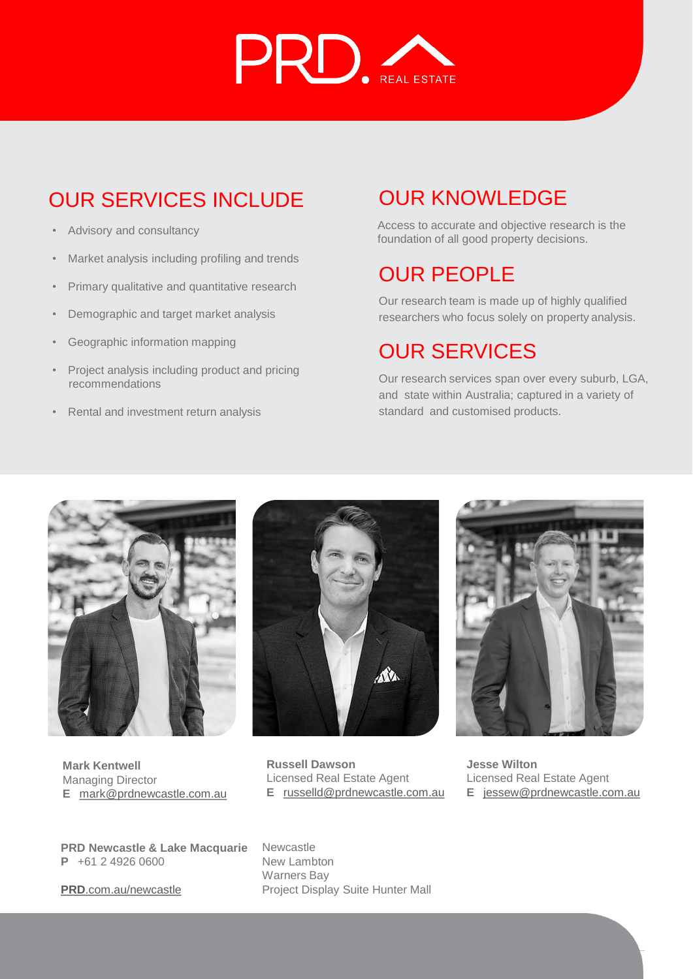

### OUR SERVICES INCLUDE

- Advisory and consultancy
- Market analysis including profiling and trends
- Primary qualitative and quantitative research
- Demographic and target market analysis
- Geographic information mapping
- Project analysis including product and pricing recommendations
- Rental and investment return analysis

### OUR KNOWLEDGE

Access to accurate and objective research is the foundation of all good property decisions.

### OUR PEOPLE

Our research team is made up of highly qualified researchers who focus solely on property analysis.

### OUR SERVICES

Our research services span over every suburb, LGA, and state within Australia; captured in a variety of standard and customised products.



**Mark Kentwell** Managing Director **E** [mark@prdnewcastle.com.au](mailto:mark@prdnewcastle.com.au)



**Russell Dawson** Licensed Real Estate Agent **E** [russelld@prdnewcastle.com.au](mailto:russelld@prdnewcastle.com.au)



**Jesse Wilton** Licensed Real Estate Agent **E** [jessew@prdnewcastle.com.au](mailto:jessew@prdnewcastle.com.au)

**PRD Newcastle & Lake Macquarie P** +61 2 4926 0600

**PRD**[.com.au/newcastle](https://www.prd.com.au/newcastle/)

Newcastle New Lambton Warners Bay Project Display Suite Hunter Mall